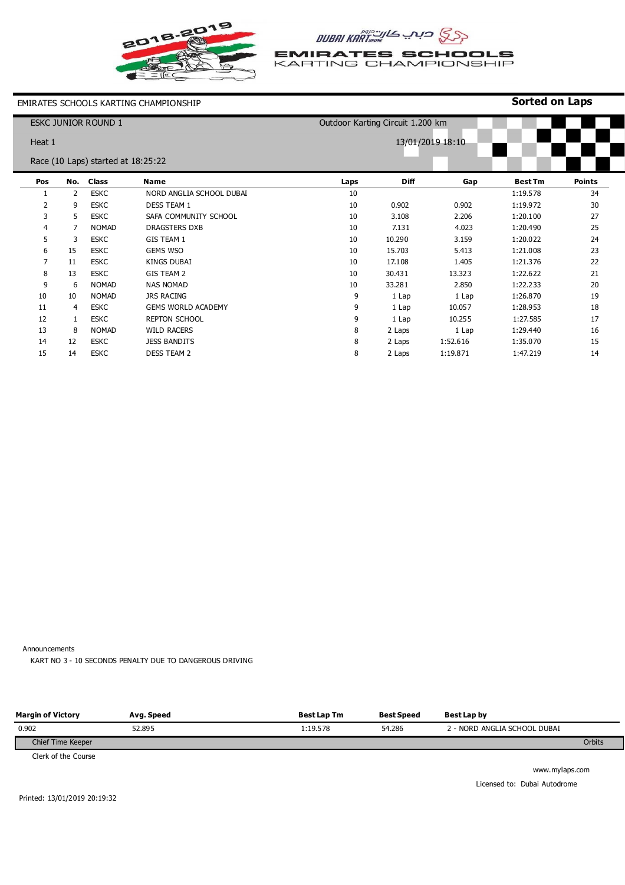

## **CSS CIAL ARTOROWE**

**EMIRATES SCHOOLS**<br>KARTING CHAMPIONSHIP

#### EMIRATES SCHOOLS KARTING CHAMPIONSHIP

### **Sorted on Laps**

| <b>ESKC JUNIOR ROUND 1</b><br>Outdoor Karting Circuit 1.200 km |     |              |                           |      |             |                  |                |               |
|----------------------------------------------------------------|-----|--------------|---------------------------|------|-------------|------------------|----------------|---------------|
| Heat 1                                                         |     |              |                           |      |             | 13/01/2019 18:10 |                |               |
| Race (10 Laps) started at 18:25:22                             |     |              |                           |      |             |                  |                |               |
| Pos                                                            | No. | <b>Class</b> | <b>Name</b>               | Laps | <b>Diff</b> | Gap              | <b>Best Tm</b> | <b>Points</b> |
|                                                                | 2   | <b>ESKC</b>  | NORD ANGLIA SCHOOL DUBAI  | 10   |             |                  | 1:19.578       | 34            |
| 2                                                              | 9   | <b>ESKC</b>  | <b>DESS TEAM 1</b>        | 10   | 0.902       | 0.902            | 1:19.972       | 30            |
| 3                                                              | 5   | <b>ESKC</b>  | SAFA COMMUNITY SCHOOL     | 10   | 3.108       | 2.206            | 1:20.100       | 27            |
| 4                                                              | 7   | <b>NOMAD</b> | <b>DRAGSTERS DXB</b>      | 10   | 7.131       | 4.023            | 1:20.490       | 25            |
| 5                                                              | 3   | <b>ESKC</b>  | GIS TEAM 1                | 10   | 10.290      | 3.159            | 1:20.022       | 24            |
| 6                                                              | 15  | <b>ESKC</b>  | <b>GEMS WSO</b>           | 10   | 15.703      | 5.413            | 1:21.008       | 23            |
|                                                                | 11  | <b>ESKC</b>  | KINGS DUBAI               | 10   | 17.108      | 1.405            | 1:21.376       | 22            |
| 8                                                              | 13  | <b>ESKC</b>  | <b>GIS TEAM 2</b>         | 10   | 30.431      | 13.323           | 1:22.622       | 21            |
| 9                                                              | 6   | <b>NOMAD</b> | <b>NAS NOMAD</b>          | 10   | 33.281      | 2.850            | 1:22.233       | 20            |
| 10                                                             | 10  | <b>NOMAD</b> | <b>JRS RACING</b>         | 9    | 1 Lap       | 1 Lap            | 1:26.870       | 19            |
| 11                                                             | 4   | <b>ESKC</b>  | <b>GEMS WORLD ACADEMY</b> | 9    | 1 Lap       | 10.057           | 1:28.953       | 18            |
| 12                                                             | 1   | <b>ESKC</b>  | <b>REPTON SCHOOL</b>      | 9    | 1 Lap       | 10.255           | 1:27.585       | 17            |
| 13                                                             | 8   | <b>NOMAD</b> | <b>WILD RACERS</b>        | 8    | 2 Laps      | 1 Lap            | 1:29.440       | 16            |
| 14                                                             | 12  | <b>ESKC</b>  | <b>JESS BANDITS</b>       | 8    | 2 Laps      | 1:52.616         | 1:35.070       | 15            |
| 15                                                             | 14  | <b>ESKC</b>  | <b>DESS TEAM 2</b>        | 8    | 2 Laps      | 1:19.871         | 1:47.219       | 14            |

Announcements

KART NO 3 - 10 SECONDS PENALTY DUE TO DANGEROUS DRIVING

| <b>Margin of Victory</b>        | Avg. Speed | <b>Best Lap Tm</b> | <b>Best Speed</b> | Best Lap by                  |        |
|---------------------------------|------------|--------------------|-------------------|------------------------------|--------|
| 0.902                           | 52.895     | 1:19.578           | 54.286            | 2 - NORD ANGLIA SCHOOL DUBAI |        |
| Chief Time Keeper               |            |                    |                   |                              | Orbits |
| $C$ and $C$ that $C$ around $C$ |            |                    |                   |                              |        |

Clerk of the Course

www.mylaps.com Licensed to: Dubai Autodrome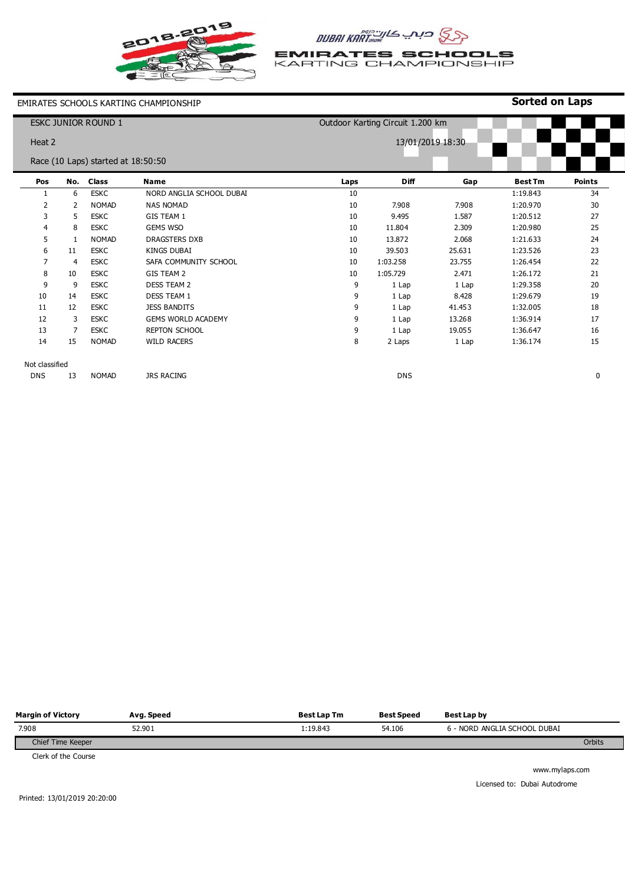

## **CSS CIAL ARTOROWE**

**EMIRATES SCHOOLS**<br>KARTING CHAMPIONSHIP

#### EMIRATES SCHOOLS KARTING CHAMPIONSHIP

### **Sorted on Laps**

| <b>ESKC JUNIOR ROUND 1</b> |     |                                    | Outdoor Karting Circuit 1.200 km |      |             |                  |                |               |
|----------------------------|-----|------------------------------------|----------------------------------|------|-------------|------------------|----------------|---------------|
| Heat 2                     |     |                                    |                                  |      |             | 13/01/2019 18:30 |                |               |
|                            |     | Race (10 Laps) started at 18:50:50 |                                  |      |             |                  |                |               |
| Pos                        | No. | <b>Class</b>                       | <b>Name</b>                      | Laps | <b>Diff</b> | Gap              | <b>Best Tm</b> | <b>Points</b> |
| -1                         | 6   | <b>ESKC</b>                        | NORD ANGLIA SCHOOL DUBAI         | 10   |             |                  | 1:19.843       | 34            |
| 2                          | 2   | <b>NOMAD</b>                       | <b>NAS NOMAD</b>                 | 10   | 7.908       | 7.908            | 1:20.970       | 30            |
| 3                          | 5   | <b>ESKC</b>                        | <b>GIS TEAM 1</b>                | 10   | 9.495       | 1.587            | 1:20.512       | 27            |
| 4                          | 8   | <b>ESKC</b>                        | <b>GEMS WSO</b>                  | 10   | 11.804      | 2.309            | 1:20.980       | 25            |
| 5                          | 1   | <b>NOMAD</b>                       | <b>DRAGSTERS DXB</b>             | 10   | 13.872      | 2.068            | 1:21.633       | 24            |
| 6                          | 11  | <b>ESKC</b>                        | <b>KINGS DUBAI</b>               | 10   | 39.503      | 25.631           | 1:23.526       | 23            |
| $\overline{7}$             | 4   | <b>ESKC</b>                        | SAFA COMMUNITY SCHOOL            | 10   | 1:03.258    | 23.755           | 1:26.454       | 22            |
| 8                          | 10  | <b>ESKC</b>                        | GIS TEAM 2                       | 10   | 1:05.729    | 2.471            | 1:26.172       | 21            |
| 9                          | 9   | <b>ESKC</b>                        | <b>DESS TEAM 2</b>               | 9    | 1 Lap       | 1 Lap            | 1:29.358       | 20            |
| 10                         | 14  | <b>ESKC</b>                        | <b>DESS TEAM 1</b>               | 9    | 1 Lap       | 8.428            | 1:29.679       | 19            |
| 11                         | 12  | <b>ESKC</b>                        | <b>JESS BANDITS</b>              | 9    | 1 Lap       | 41.453           | 1:32.005       | 18            |
| 12                         | 3   | <b>ESKC</b>                        | <b>GEMS WORLD ACADEMY</b>        | 9    | 1 Lap       | 13.268           | 1:36.914       | 17            |
| 13                         | 7   | <b>ESKC</b>                        | <b>REPTON SCHOOL</b>             | 9    | 1 Lap       | 19.055           | 1:36.647       | 16            |
| 14                         | 15  | <b>NOMAD</b>                       | <b>WILD RACERS</b>               | 8    | 2 Laps      | 1 Lap            | 1:36.174       | 15            |
| Not classified             |     |                                    |                                  |      |             |                  |                |               |
| <b>DNS</b>                 | 13  | <b>NOMAD</b>                       | <b>JRS RACING</b>                |      | <b>DNS</b>  |                  |                | 0             |

| <b>Margin of Victory</b> | Avg. Speed | <b>Best Lap Tm</b> | <b>Best Speed</b> | Best Lap by                  |        |
|--------------------------|------------|--------------------|-------------------|------------------------------|--------|
| 7.908                    | 52.901     | l:19.843           | 54.106            | 6 - NORD ANGLIA SCHOOL DUBAI |        |
| Chief Time Keeper        |            |                    |                   |                              | Orbits |
|                          |            |                    |                   |                              |        |

Clerk of the Course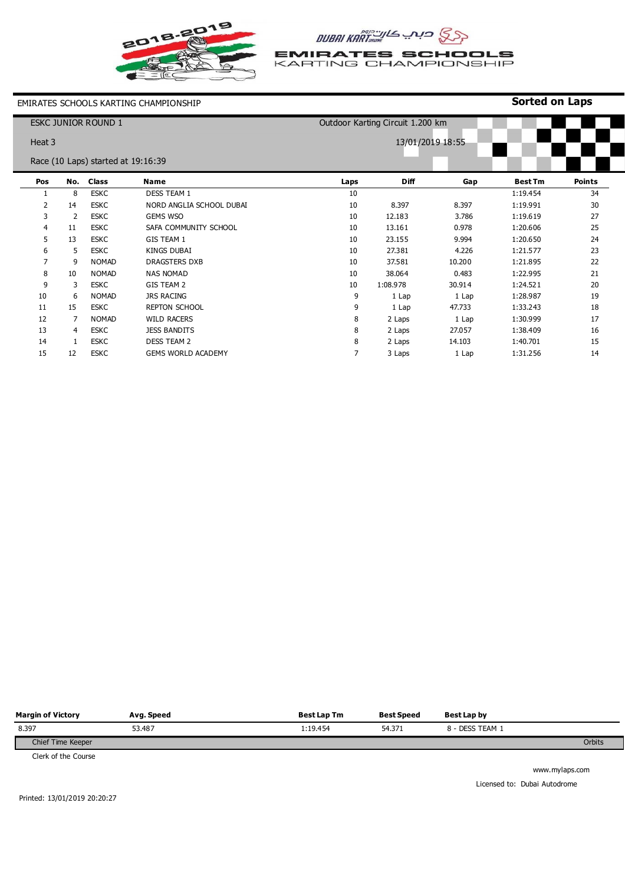

# AUBAI KART

**EMIRATES SCHOOLS**<br>KARTING CHAMPIONSHIP

EMIRATES SCHOOLS KARTING CHAMPIONSHIP

#### **Sorted on Laps**

| <b>ESKC JUNIOR ROUND 1</b> |     |     | Outdoor Karting Circuit 1.200 km   |                          |      |             |                  |                |               |
|----------------------------|-----|-----|------------------------------------|--------------------------|------|-------------|------------------|----------------|---------------|
| Heat 3                     |     |     |                                    |                          |      |             | 13/01/2019 18:55 |                |               |
|                            |     |     | Race (10 Laps) started at 19:16:39 |                          |      |             |                  |                |               |
|                            | Pos | No. | <b>Class</b>                       | Name                     | Laps | <b>Diff</b> | Gap              | <b>Best Tm</b> | <b>Points</b> |
|                            |     | 8   | <b>ESKC</b>                        | <b>DESS TEAM 1</b>       | 10   |             |                  | 1:19.454       | 34            |
|                            | 2   | 14  | <b>ESKC</b>                        | NORD ANGLIA SCHOOL DUBAI | 10   | 8.397       | 8.397            | 1:19.991       | 30            |
|                            | 3   | 2   | <b>ESKC</b>                        | <b>GEMS WSO</b>          | 10   | 12.183      | 3.786            | 1:19.619       | 27            |
|                            | 4   | 11  | <b>ESKC</b>                        | SAFA COMMUNITY SCHOOL    | 10   | 13.161      | 0.978            | 1:20.606       | 25            |
|                            | 5   | 13  | <b>ESKC</b>                        | GIS TEAM 1               | 10   | 23.155      | 9.994            | 1:20.650       | 24            |
|                            | 6   | 5   | <b>ESKC</b>                        | <b>KINGS DUBAI</b>       | 10   | 27.381      | 4.226            | 1:21.577       | 23            |
|                            | 7   | 9   | <b>NOMAD</b>                       | DRAGSTERS DXB            | 10   | 37.581      | 10.200           | 1:21.895       | 22            |
|                            | 8   | 10  | <b>NOMAD</b>                       | <b>NAS NOMAD</b>         | 10   | 38.064      | 0.483            | 1:22.995       | 21            |
|                            | 9   | 3   | <b>ESKC</b>                        | GIS TEAM 2               | 10   | 1:08.978    | 30.914           | 1:24.521       | 20            |
|                            | 10  | 6   | <b>NOMAD</b>                       | <b>JRS RACING</b>        | 9    | 1 Lap       | 1 Lap            | 1:28.987       | 19            |
|                            | 11  | 15  | <b>ESKC</b>                        | <b>REPTON SCHOOL</b>     | 9    | 1 Lap       | 47.733           | 1:33.243       | 18            |
|                            | 12  | 7   | <b>NOMAD</b>                       | <b>WILD RACERS</b>       | 8    | 2 Laps      | 1 Lap            | 1:30.999       | 17            |
|                            | 13  | 4   | <b>ESKC</b>                        | <b>JESS BANDITS</b>      | 8    | 2 Laps      | 27.057           | 1:38.409       | 16            |
|                            | 14  | 1   | <b>ESKC</b>                        | <b>DESS TEAM 2</b>       | 8    | 2 Laps      | 14.103           | 1:40.701       | 15            |
|                            | 15  | 12  | <b>ESKC</b>                        | GEMS WORLD ACADEMY       | 7    | 3 Laps      | 1 Lap            | 1:31.256       | 14            |

| <b>Margin of Victory</b> | Avg. Speed | <b>Best Lap Tm</b> | <b>Best Speed</b> | Best Lap by     |        |
|--------------------------|------------|--------------------|-------------------|-----------------|--------|
| 8.397                    | 53.487     | 1:19.454           | 54.371            | 8 - DESS TEAM 1 |        |
| Chief Time Keeper        |            |                    |                   |                 | Orbits |

Clerk of the Course

www.mylaps.com Licensed to: Dubai Autodrome